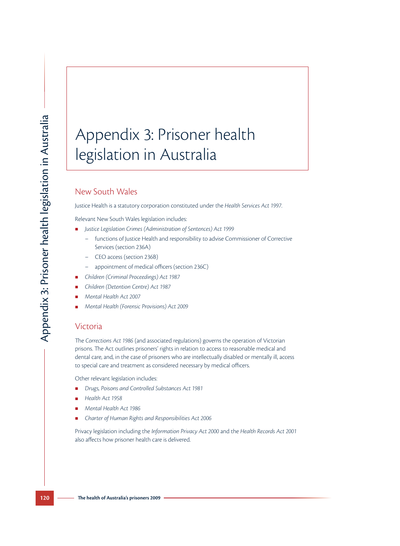# Appendix 3: Prisoner health legislation in Australia

## New South Wales

Justice Health is a statutory corporation constituted under the *Health Services Act 1997*.

Relevant New South Wales legislation includes:

- *Justice Legislation Crimes (Administration of Sentences) Act 1999* 
	- functions of Justice Health and responsibility to advise Commissioner of Corrective Services (section 236A)
	- CEO access (section 236B)
	- appointment of medical officers (section 236C)
- *Children (Criminal Proceedings) Act 1987*
- *Children (Detention Centre) Act 1987*
- *Mental Health Act 2007*
- *Mental Health (Forensic Provisions) Act 2009*

#### Victoria

The *Corrections Act 1986* (and associated regulations) governs the operation of Victorian prisons. The Act outlines prisoners' rights in relation to access to reasonable medical and dental care, and, in the case of prisoners who are intellectually disabled or mentally ill, access to special care and treatment as considered necessary by medical officers.

Other relevant legislation includes:

- *Drugs, Poisons and Controlled Substances Act 1981*
- *Health Act 1958*
- *Mental Health Act 1986*
- *Charter of Human Rights and Responsibilities Act 2006*

Privacy legislation including the *Information Privacy Act 2000* and the *Health Records Act 2001* also affects how prisoner health care is delivered.